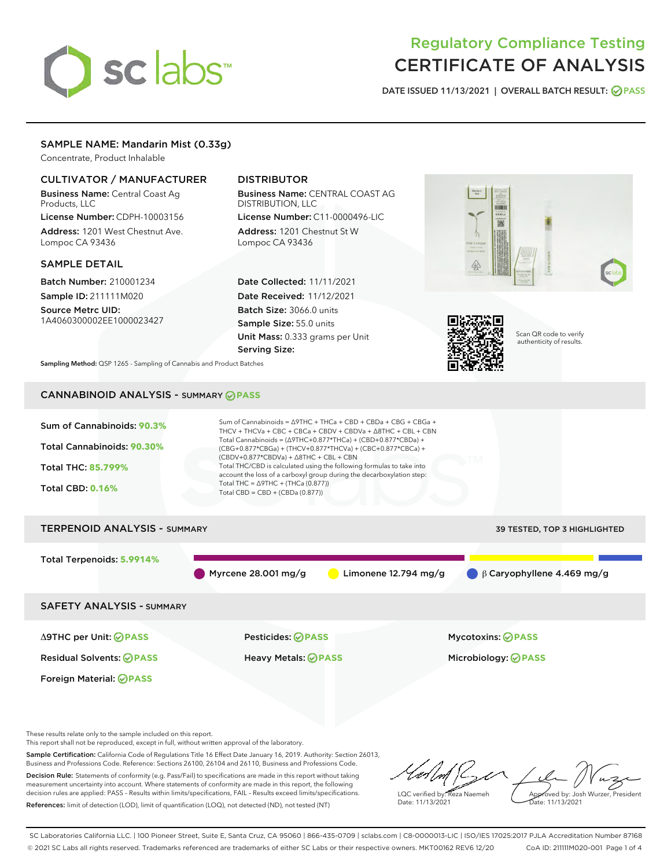# sclabs<sup>\*</sup>

# Regulatory Compliance Testing CERTIFICATE OF ANALYSIS

DATE ISSUED 11/13/2021 | OVERALL BATCH RESULT: @ PASS

# SAMPLE NAME: Mandarin Mist (0.33g)

Concentrate, Product Inhalable

# CULTIVATOR / MANUFACTURER

Business Name: Central Coast Ag Products, LLC

License Number: CDPH-10003156 Address: 1201 West Chestnut Ave. Lompoc CA 93436

## SAMPLE DETAIL

Batch Number: 210001234 Sample ID: 211111M020

Source Metrc UID: 1A4060300002EE1000023427

# DISTRIBUTOR

Business Name: CENTRAL COAST AG DISTRIBUTION, LLC

License Number: C11-0000496-LIC Address: 1201 Chestnut St W Lompoc CA 93436

Date Collected: 11/11/2021 Date Received: 11/12/2021 Batch Size: 3066.0 units Sample Size: 55.0 units Unit Mass: 0.333 grams per Unit Serving Size:





Scan QR code to verify authenticity of results.

Sampling Method: QSP 1265 - Sampling of Cannabis and Product Batches

# CANNABINOID ANALYSIS - SUMMARY **PASS**



This report shall not be reproduced, except in full, without written approval of the laboratory.

Sample Certification: California Code of Regulations Title 16 Effect Date January 16, 2019. Authority: Section 26013, Business and Professions Code. Reference: Sections 26100, 26104 and 26110, Business and Professions Code. Decision Rule: Statements of conformity (e.g. Pass/Fail) to specifications are made in this report without taking measurement uncertainty into account. Where statements of conformity are made in this report, the following

decision rules are applied: PASS – Results within limits/specifications, FAIL – Results exceed limits/specifications. References: limit of detection (LOD), limit of quantification (LOQ), not detected (ND), not tested (NT)

LQC verified by: Reza Naemeh Date: 11/13/2021 Approved by: Josh Wurzer, President Date: 11/13/2021

SC Laboratories California LLC. | 100 Pioneer Street, Suite E, Santa Cruz, CA 95060 | 866-435-0709 | sclabs.com | C8-0000013-LIC | ISO/IES 17025:2017 PJLA Accreditation Number 87168 © 2021 SC Labs all rights reserved. Trademarks referenced are trademarks of either SC Labs or their respective owners. MKT00162 REV6 12/20 CoA ID: 211111M020-001 Page 1 of 4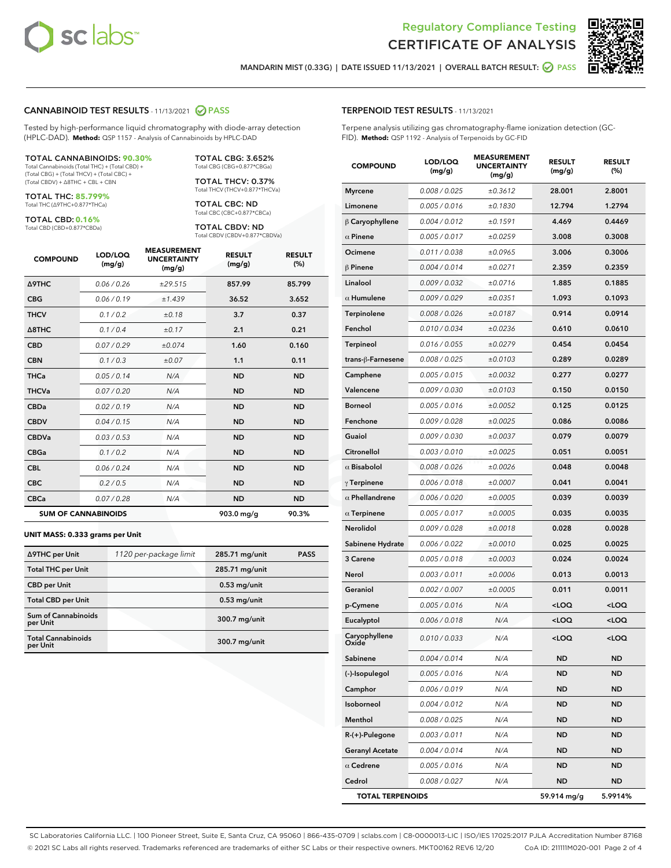



MANDARIN MIST (0.33G) | DATE ISSUED 11/13/2021 | OVERALL BATCH RESULT: 2 PASS

#### CANNABINOID TEST RESULTS - 11/13/2021 2 PASS

Tested by high-performance liquid chromatography with diode-array detection (HPLC-DAD). **Method:** QSP 1157 - Analysis of Cannabinoids by HPLC-DAD

#### TOTAL CANNABINOIDS: **90.30%**

Total Cannabinoids (Total THC) + (Total CBD) + (Total CBG) + (Total THCV) + (Total CBC) + (Total CBDV) + ∆8THC + CBL + CBN

TOTAL THC: **85.799%** Total THC (∆9THC+0.877\*THCa)

TOTAL CBD: **0.16%**

Total CBD (CBD+0.877\*CBDa)

TOTAL CBG: 3.652% Total CBG (CBG+0.877\*CBGa)

TOTAL THCV: 0.37% Total THCV (THCV+0.877\*THCVa)

TOTAL CBC: ND Total CBC (CBC+0.877\*CBCa)

TOTAL CBDV: ND Total CBDV (CBDV+0.877\*CBDVa)

| <b>COMPOUND</b>  | LOD/LOQ<br>(mg/g)          | <b>MEASUREMENT</b><br><b>UNCERTAINTY</b><br>(mg/g) | <b>RESULT</b><br>(mg/g) | <b>RESULT</b><br>(%) |
|------------------|----------------------------|----------------------------------------------------|-------------------------|----------------------|
| <b>A9THC</b>     | 0.06/0.26                  | ±29.515                                            | 857.99                  | 85.799               |
| <b>CBG</b>       | 0.06/0.19                  | ±1.439                                             | 36.52                   | 3.652                |
| <b>THCV</b>      | 0.1 / 0.2                  | ±0.18                                              | 3.7                     | 0.37                 |
| $\triangle$ 8THC | 0.1/0.4                    | ±0.17                                              | 2.1                     | 0.21                 |
| <b>CBD</b>       | 0.07/0.29                  | ±0.074                                             | 1.60                    | 0.160                |
| <b>CBN</b>       | 0.1/0.3                    | ±0.07                                              | 1.1                     | 0.11                 |
| <b>THCa</b>      | 0.05/0.14                  | N/A                                                | <b>ND</b>               | <b>ND</b>            |
| <b>THCVa</b>     | 0.07 / 0.20                | N/A                                                | <b>ND</b>               | <b>ND</b>            |
| <b>CBDa</b>      | 0.02/0.19                  | N/A                                                | <b>ND</b>               | <b>ND</b>            |
| <b>CBDV</b>      | 0.04 / 0.15                | N/A                                                | <b>ND</b>               | <b>ND</b>            |
| <b>CBDVa</b>     | 0.03/0.53                  | N/A                                                | <b>ND</b>               | <b>ND</b>            |
| <b>CBGa</b>      | 0.1/0.2                    | N/A                                                | <b>ND</b>               | <b>ND</b>            |
| <b>CBL</b>       | 0.06 / 0.24                | N/A                                                | <b>ND</b>               | <b>ND</b>            |
| <b>CBC</b>       | 0.2 / 0.5                  | N/A                                                | <b>ND</b>               | <b>ND</b>            |
| <b>CBCa</b>      | 0.07/0.28                  | N/A                                                | <b>ND</b>               | <b>ND</b>            |
|                  | <b>SUM OF CANNABINOIDS</b> |                                                    | 903.0 mg/g              | 90.3%                |

#### **UNIT MASS: 0.333 grams per Unit**

| ∆9THC per Unit                         | 1120 per-package limit | 285.71 mg/unit  | <b>PASS</b> |
|----------------------------------------|------------------------|-----------------|-------------|
| <b>Total THC per Unit</b>              |                        | 285.71 mg/unit  |             |
| <b>CBD</b> per Unit                    |                        | $0.53$ mg/unit  |             |
| <b>Total CBD per Unit</b>              |                        | $0.53$ mg/unit  |             |
| <b>Sum of Cannabinoids</b><br>per Unit |                        | 300.7 mg/unit   |             |
| <b>Total Cannabinoids</b><br>per Unit  |                        | $300.7$ mg/unit |             |

| <b>COMPOUND</b>         | LOD/LOQ<br>(mg/g) | ASUREIVI<br><b>UNCERTAINTY</b><br>(mg/g) | <b>RESULT</b><br>(mg/g)                         | <b>RESULT</b><br>$(\%)$ |
|-------------------------|-------------------|------------------------------------------|-------------------------------------------------|-------------------------|
| <b>Myrcene</b>          | 0.008 / 0.025     | ±0.3612                                  | 28.001                                          | 2.8001                  |
| Limonene                | 0.005 / 0.016     | ±0.1830                                  | 12.794                                          | 1.2794                  |
| $\beta$ Caryophyllene   | 0.004 / 0.012     | ±0.1591                                  | 4.469                                           | 0.4469                  |
| $\alpha$ Pinene         | 0.005 / 0.017     | ±0.0259                                  | 3.008                                           | 0.3008                  |
| Ocimene                 | 0.011 / 0.038     | ±0.0965                                  | 3.006                                           | 0.3006                  |
| $\beta$ Pinene          | 0.004 / 0.014     | ±0.0271                                  | 2.359                                           | 0.2359                  |
| Linalool                | 0.009 / 0.032     | ±0.0716                                  | 1.885                                           | 0.1885                  |
| $\alpha$ Humulene       | 0.009/0.029       | ±0.0351                                  | 1.093                                           | 0.1093                  |
| Terpinolene             | 0.008 / 0.026     | ±0.0187                                  | 0.914                                           | 0.0914                  |
| Fenchol                 | 0.010 / 0.034     | ±0.0236                                  | 0.610                                           | 0.0610                  |
| <b>Terpineol</b>        | 0.016 / 0.055     | ±0.0279                                  | 0.454                                           | 0.0454                  |
| trans-β-Farnesene       | 0.008 / 0.025     | ±0.0103                                  | 0.289                                           | 0.0289                  |
| Camphene                | 0.005 / 0.015     | ±0.0032                                  | 0.277                                           | 0.0277                  |
| Valencene               | 0.009 / 0.030     | ±0.0103                                  | 0.150                                           | 0.0150                  |
| <b>Borneol</b>          | 0.005 / 0.016     | ±0.0052                                  | 0.125                                           | 0.0125                  |
| Fenchone                | 0.009 / 0.028     | ±0.0025                                  | 0.086                                           | 0.0086                  |
| Guaiol                  | 0.009 / 0.030     | ±0.0037                                  | 0.079                                           | 0.0079                  |
| Citronellol             | 0.003 / 0.010     | ±0.0025                                  | 0.051                                           | 0.0051                  |
| $\alpha$ Bisabolol      | 0.008 / 0.026     | ±0.0026                                  | 0.048                                           | 0.0048                  |
| $\gamma$ Terpinene      | 0.006 / 0.018     | ±0.0007                                  | 0.041                                           | 0.0041                  |
| $\alpha$ Phellandrene   | 0.006 / 0.020     | ±0.0005                                  | 0.039                                           | 0.0039                  |
| $\alpha$ Terpinene      | 0.005 / 0.017     | ±0.0005                                  | 0.035                                           | 0.0035                  |
| Nerolidol               | 0.009 / 0.028     | ±0.0018                                  | 0.028                                           | 0.0028                  |
| Sabinene Hydrate        | 0.006 / 0.022     | ±0.0010                                  | 0.025                                           | 0.0025                  |
| 3 Carene                | 0.005 / 0.018     | ±0.0003                                  | 0.024                                           | 0.0024                  |
| Nerol                   | 0.003 / 0.011     | ±0.0006                                  | 0.013                                           | 0.0013                  |
| Geraniol                | 0.002 / 0.007     | ±0.0005                                  | 0.011                                           | 0.0011                  |
| p-Cymene                | 0.005 / 0.016     | N/A                                      | <loq< th=""><th><loq< th=""></loq<></th></loq<> | <loq< th=""></loq<>     |
| Eucalyptol              | 0.006 / 0.018     | N/A                                      | <loq< th=""><th><loq< th=""></loq<></th></loq<> | <loq< th=""></loq<>     |
| Caryophyllene<br>Oxide  | 0.010 / 0.033     | N/A                                      | <loq< th=""><th><loq< th=""></loq<></th></loq<> | <loq< th=""></loq<>     |
| Sabinene                | 0.004 / 0.014     | N/A                                      | ND                                              | ND                      |
| (-)-Isopulegol          | 0.005 / 0.016     | N/A                                      | ND                                              | ND                      |
| Camphor                 | 0.006 / 0.019     | N/A                                      | ND                                              | ND                      |
| Isoborneol              | 0.004 / 0.012     | N/A                                      | ND                                              | ND                      |
| Menthol                 | 0.008 / 0.025     | N/A                                      | ND                                              | ND                      |
| R-(+)-Pulegone          | 0.003 / 0.011     | N/A                                      | ND                                              | ND                      |
| <b>Geranyl Acetate</b>  | 0.004 / 0.014     | N/A                                      | ND                                              | ND                      |
| $\alpha$ Cedrene        | 0.005 / 0.016     | N/A                                      | ND                                              | ND                      |
| Cedrol                  | 0.008 / 0.027     | N/A                                      | ND                                              | ND                      |
| <b>TOTAL TERPENOIDS</b> |                   |                                          | 59.914 mg/g                                     | 5.9914%                 |

SC Laboratories California LLC. | 100 Pioneer Street, Suite E, Santa Cruz, CA 95060 | 866-435-0709 | sclabs.com | C8-0000013-LIC | ISO/IES 17025:2017 PJLA Accreditation Number 87168 © 2021 SC Labs all rights reserved. Trademarks referenced are trademarks of either SC Labs or their respective owners. MKT00162 REV6 12/20 CoA ID: 211111M020-001 Page 2 of 4

# TERPENOID TEST RESULTS - 11/13/2021

Terpene analysis utilizing gas chromatography-flame ionization detection (GC-FID). **Method:** QSP 1192 - Analysis of Terpenoids by GC-FID

MEACUREMENT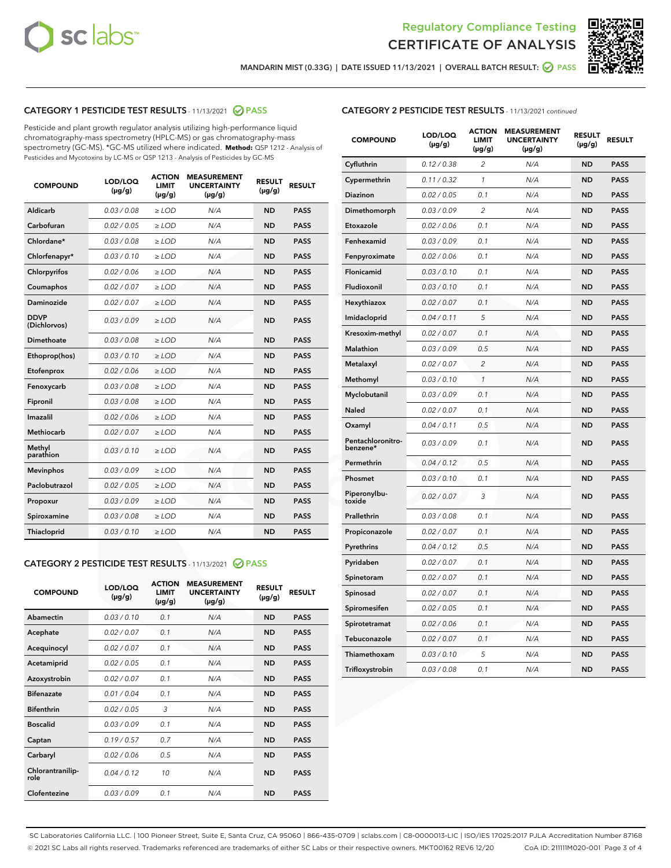



MANDARIN MIST (0.33G) | DATE ISSUED 11/13/2021 | OVERALL BATCH RESULT: @ PASS

# CATEGORY 1 PESTICIDE TEST RESULTS - 11/13/2021 2 PASS

Pesticide and plant growth regulator analysis utilizing high-performance liquid chromatography-mass spectrometry (HPLC-MS) or gas chromatography-mass spectrometry (GC-MS). \*GC-MS utilized where indicated. **Method:** QSP 1212 - Analysis of Pesticides and Mycotoxins by LC-MS or QSP 1213 - Analysis of Pesticides by GC-MS

| <b>COMPOUND</b>             | LOD/LOQ<br>$(\mu g/g)$ | <b>ACTION</b><br><b>LIMIT</b><br>$(\mu g/g)$ | <b>MEASUREMENT</b><br><b>UNCERTAINTY</b><br>$(\mu g/g)$ | <b>RESULT</b><br>$(\mu g/g)$ | <b>RESULT</b> |
|-----------------------------|------------------------|----------------------------------------------|---------------------------------------------------------|------------------------------|---------------|
| Aldicarb                    | 0.03/0.08              | $>$ LOD                                      | N/A                                                     | <b>ND</b>                    | <b>PASS</b>   |
| Carbofuran                  | 0.02 / 0.05            | $\ge$ LOD                                    | N/A                                                     | <b>ND</b>                    | <b>PASS</b>   |
| Chlordane*                  | 0.03/0.08              | $>$ LOD                                      | N/A                                                     | <b>ND</b>                    | <b>PASS</b>   |
| Chlorfenapyr*               | 0.03/0.10              | $\ge$ LOD                                    | N/A                                                     | <b>ND</b>                    | <b>PASS</b>   |
| Chlorpyrifos                | 0.02 / 0.06            | $\ge$ LOD                                    | N/A                                                     | <b>ND</b>                    | <b>PASS</b>   |
| Coumaphos                   | 0.02 / 0.07            | $\ge$ LOD                                    | N/A                                                     | <b>ND</b>                    | <b>PASS</b>   |
| Daminozide                  | 0.02 / 0.07            | $\ge$ LOD                                    | N/A                                                     | <b>ND</b>                    | <b>PASS</b>   |
| <b>DDVP</b><br>(Dichlorvos) | 0.03/0.09              | $\ge$ LOD                                    | N/A                                                     | <b>ND</b>                    | <b>PASS</b>   |
| <b>Dimethoate</b>           | 0.03 / 0.08            | $\ge$ LOD                                    | N/A                                                     | <b>ND</b>                    | <b>PASS</b>   |
| Ethoprop(hos)               | 0.03/0.10              | $\ge$ LOD                                    | N/A                                                     | <b>ND</b>                    | <b>PASS</b>   |
| Etofenprox                  | 0.02 / 0.06            | $\ge$ LOD                                    | N/A                                                     | <b>ND</b>                    | <b>PASS</b>   |
| Fenoxycarb                  | 0.03 / 0.08            | $\ge$ LOD                                    | N/A                                                     | <b>ND</b>                    | <b>PASS</b>   |
| Fipronil                    | 0.03/0.08              | $>$ LOD                                      | N/A                                                     | <b>ND</b>                    | <b>PASS</b>   |
| Imazalil                    | 0.02 / 0.06            | $\ge$ LOD                                    | N/A                                                     | <b>ND</b>                    | <b>PASS</b>   |
| Methiocarb                  | 0.02 / 0.07            | $\ge$ LOD                                    | N/A                                                     | <b>ND</b>                    | <b>PASS</b>   |
| Methyl<br>parathion         | 0.03/0.10              | $\ge$ LOD                                    | N/A                                                     | <b>ND</b>                    | <b>PASS</b>   |
| <b>Mevinphos</b>            | 0.03/0.09              | $\ge$ LOD                                    | N/A                                                     | <b>ND</b>                    | <b>PASS</b>   |
| Paclobutrazol               | 0.02 / 0.05            | $>$ LOD                                      | N/A                                                     | <b>ND</b>                    | <b>PASS</b>   |
| Propoxur                    | 0.03/0.09              | $\ge$ LOD                                    | N/A                                                     | <b>ND</b>                    | <b>PASS</b>   |
| Spiroxamine                 | 0.03 / 0.08            | $\ge$ LOD                                    | N/A                                                     | <b>ND</b>                    | <b>PASS</b>   |
| Thiacloprid                 | 0.03/0.10              | $\ge$ LOD                                    | N/A                                                     | <b>ND</b>                    | <b>PASS</b>   |

#### CATEGORY 2 PESTICIDE TEST RESULTS - 11/13/2021 @ PASS

| <b>COMPOUND</b>          | LOD/LOO<br>$(\mu g/g)$ | <b>ACTION</b><br>LIMIT<br>$(\mu g/g)$ | <b>MEASUREMENT</b><br><b>UNCERTAINTY</b><br>$(\mu g/g)$ | <b>RESULT</b><br>$(\mu g/g)$ | <b>RESULT</b> |  |
|--------------------------|------------------------|---------------------------------------|---------------------------------------------------------|------------------------------|---------------|--|
| Abamectin                | 0.03/0.10              | 0.1                                   | N/A                                                     | <b>ND</b>                    | <b>PASS</b>   |  |
| Acephate                 | 0.02/0.07              | 0.1                                   | N/A                                                     | <b>ND</b>                    | <b>PASS</b>   |  |
| Acequinocyl              | 0.02/0.07              | 0.1                                   | N/A                                                     | <b>ND</b>                    | <b>PASS</b>   |  |
| Acetamiprid              | 0.02 / 0.05            | 0.1                                   | N/A                                                     | <b>ND</b>                    | <b>PASS</b>   |  |
| Azoxystrobin             | 0.02/0.07              | 0.1                                   | N/A                                                     | <b>ND</b>                    | <b>PASS</b>   |  |
| <b>Bifenazate</b>        | 0.01 / 0.04            | 0.1                                   | N/A                                                     | <b>ND</b>                    | <b>PASS</b>   |  |
| <b>Bifenthrin</b>        | 0.02 / 0.05            | 3                                     | N/A                                                     | <b>ND</b>                    | <b>PASS</b>   |  |
| <b>Boscalid</b>          | 0.03/0.09              | 0.1                                   | N/A                                                     | <b>ND</b>                    | <b>PASS</b>   |  |
| Captan                   | 0.19/0.57              | 0.7                                   | N/A                                                     | <b>ND</b>                    | <b>PASS</b>   |  |
| Carbaryl                 | 0.02/0.06              | 0.5                                   | N/A                                                     | <b>ND</b>                    | <b>PASS</b>   |  |
| Chlorantranilip-<br>role | 0.04/0.12              | 10                                    | N/A                                                     | <b>ND</b>                    | <b>PASS</b>   |  |
| Clofentezine             | 0.03/0.09              | 0.1                                   | N/A                                                     | <b>ND</b>                    | <b>PASS</b>   |  |

| <b>CATEGORY 2 PESTICIDE TEST RESULTS</b> - 11/13/2021 continued |  |  |
|-----------------------------------------------------------------|--|--|
|                                                                 |  |  |

| <b>COMPOUND</b>               | LOD/LOQ<br>(µg/g) | <b>ACTION</b><br>LIMIT<br>(µg/g) | <b>MEASUREMENT</b><br><b>UNCERTAINTY</b><br>(µg/g) | <b>RESULT</b><br>(µg/g) | <b>RESULT</b> |
|-------------------------------|-------------------|----------------------------------|----------------------------------------------------|-------------------------|---------------|
| Cyfluthrin                    | 0.12 / 0.38       | $\overline{c}$                   | N/A                                                | <b>ND</b>               | <b>PASS</b>   |
| Cypermethrin                  | 0.11/0.32         | 1                                | N/A                                                | <b>ND</b>               | <b>PASS</b>   |
| Diazinon                      | 0.02 / 0.05       | 0.1                              | N/A                                                | <b>ND</b>               | <b>PASS</b>   |
| Dimethomorph                  | 0.03 / 0.09       | 2                                | N/A                                                | <b>ND</b>               | <b>PASS</b>   |
| Etoxazole                     | 0.02 / 0.06       | 0.1                              | N/A                                                | <b>ND</b>               | <b>PASS</b>   |
| Fenhexamid                    | 0.03 / 0.09       | 0.1                              | N/A                                                | <b>ND</b>               | <b>PASS</b>   |
| Fenpyroximate                 | 0.02 / 0.06       | 0.1                              | N/A                                                | <b>ND</b>               | <b>PASS</b>   |
| Flonicamid                    | 0.03 / 0.10       | 0.1                              | N/A                                                | <b>ND</b>               | <b>PASS</b>   |
| Fludioxonil                   | 0.03 / 0.10       | 0.1                              | N/A                                                | <b>ND</b>               | <b>PASS</b>   |
| Hexythiazox                   | 0.02 / 0.07       | 0.1                              | N/A                                                | <b>ND</b>               | <b>PASS</b>   |
| Imidacloprid                  | 0.04 / 0.11       | 5                                | N/A                                                | <b>ND</b>               | <b>PASS</b>   |
| Kresoxim-methyl               | 0.02 / 0.07       | 0.1                              | N/A                                                | <b>ND</b>               | <b>PASS</b>   |
| Malathion                     | 0.03 / 0.09       | 0.5                              | N/A                                                | <b>ND</b>               | <b>PASS</b>   |
| Metalaxyl                     | 0.02 / 0.07       | 2                                | N/A                                                | <b>ND</b>               | <b>PASS</b>   |
| Methomyl                      | 0.03 / 0.10       | $\mathcal{I}$                    | N/A                                                | <b>ND</b>               | <b>PASS</b>   |
| Myclobutanil                  | 0.03 / 0.09       | 0.1                              | N/A                                                | <b>ND</b>               | <b>PASS</b>   |
| Naled                         | 0.02 / 0.07       | 0.1                              | N/A                                                | <b>ND</b>               | <b>PASS</b>   |
| Oxamyl                        | 0.04 / 0.11       | 0.5                              | N/A                                                | <b>ND</b>               | <b>PASS</b>   |
| Pentachloronitro-<br>benzene* | 0.03 / 0.09       | 0.1                              | N/A                                                | <b>ND</b>               | <b>PASS</b>   |
| Permethrin                    | 0.04 / 0.12       | 0.5                              | N/A                                                | <b>ND</b>               | <b>PASS</b>   |
| Phosmet                       | 0.03 / 0.10       | 0.1                              | N/A                                                | <b>ND</b>               | <b>PASS</b>   |
| Piperonylbu-<br>toxide        | 0.02 / 0.07       | 3                                | N/A                                                | <b>ND</b>               | <b>PASS</b>   |
| Prallethrin                   | 0.03 / 0.08       | 0.1                              | N/A                                                | <b>ND</b>               | <b>PASS</b>   |
| Propiconazole                 | 0.02 / 0.07       | 0.1                              | N/A                                                | <b>ND</b>               | <b>PASS</b>   |
| Pyrethrins                    | 0.04 / 0.12       | 0.5                              | N/A                                                | <b>ND</b>               | <b>PASS</b>   |
| Pyridaben                     | 0.02 / 0.07       | 0.1                              | N/A                                                | <b>ND</b>               | <b>PASS</b>   |
| Spinetoram                    | 0.02 / 0.07       | 0.1                              | N/A                                                | <b>ND</b>               | <b>PASS</b>   |
| Spinosad                      | 0.02 / 0.07       | 0.1                              | N/A                                                | <b>ND</b>               | <b>PASS</b>   |
| Spiromesifen                  | 0.02 / 0.05       | 0.1                              | N/A                                                | <b>ND</b>               | <b>PASS</b>   |
| Spirotetramat                 | 0.02 / 0.06       | 0.1                              | N/A                                                | ND                      | <b>PASS</b>   |
| Tebuconazole                  | 0.02 / 0.07       | 0.1                              | N/A                                                | <b>ND</b>               | <b>PASS</b>   |
| Thiamethoxam                  | 0.03 / 0.10       | 5                                | N/A                                                | <b>ND</b>               | <b>PASS</b>   |
| Trifloxystrobin               | 0.03 / 0.08       | 0.1                              | N/A                                                | <b>ND</b>               | <b>PASS</b>   |

SC Laboratories California LLC. | 100 Pioneer Street, Suite E, Santa Cruz, CA 95060 | 866-435-0709 | sclabs.com | C8-0000013-LIC | ISO/IES 17025:2017 PJLA Accreditation Number 87168 © 2021 SC Labs all rights reserved. Trademarks referenced are trademarks of either SC Labs or their respective owners. MKT00162 REV6 12/20 CoA ID: 211111M020-001 Page 3 of 4